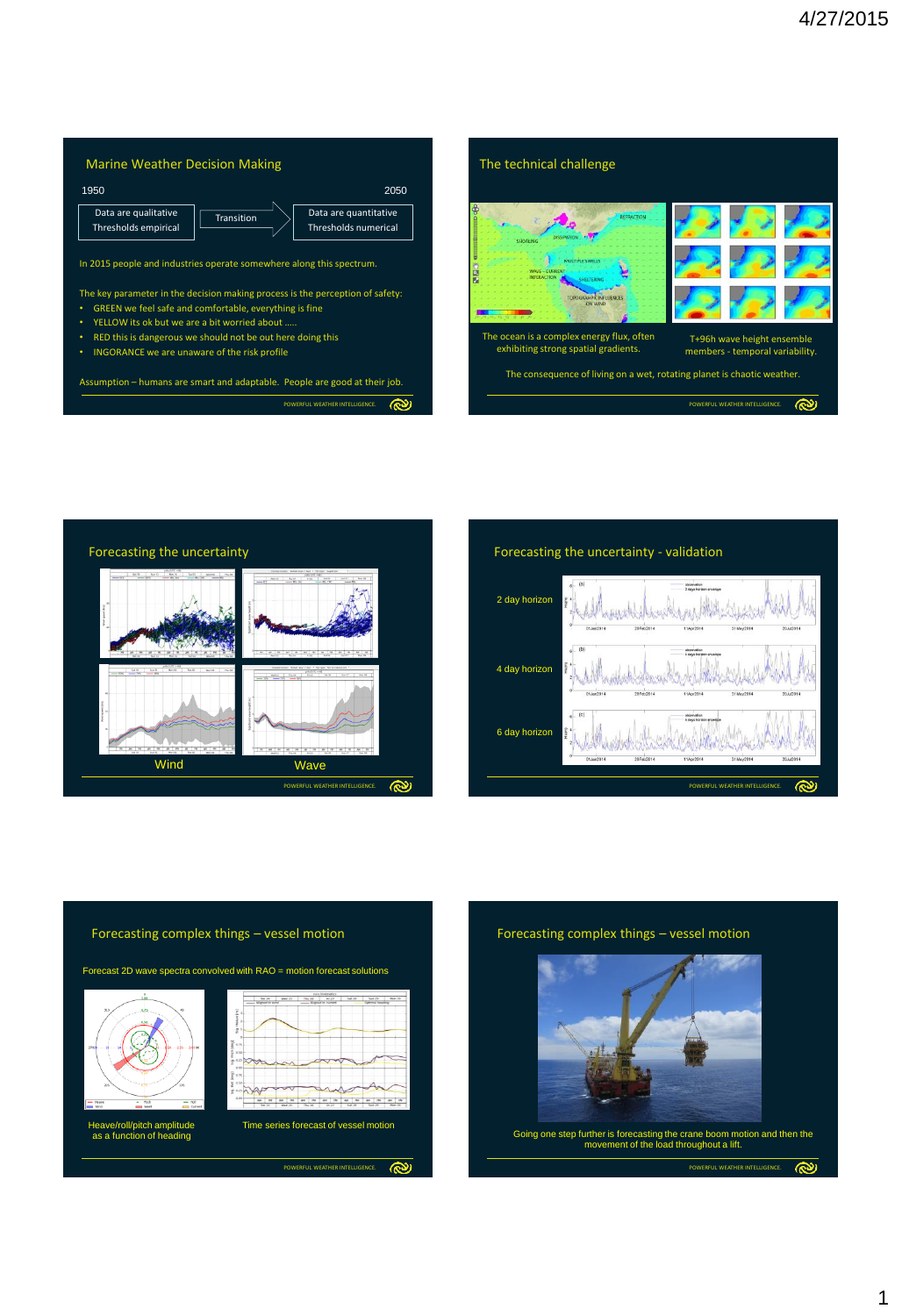





Forecasting the uncertainty - validation





## Forecasting complex things – vessel motion

Forecast 2D wave spectra convolved with RAO = motion forecast solutions



Heave/roll/pitch amplitude as a function of heading

**POL WEATHER INTELL** 

ඐ